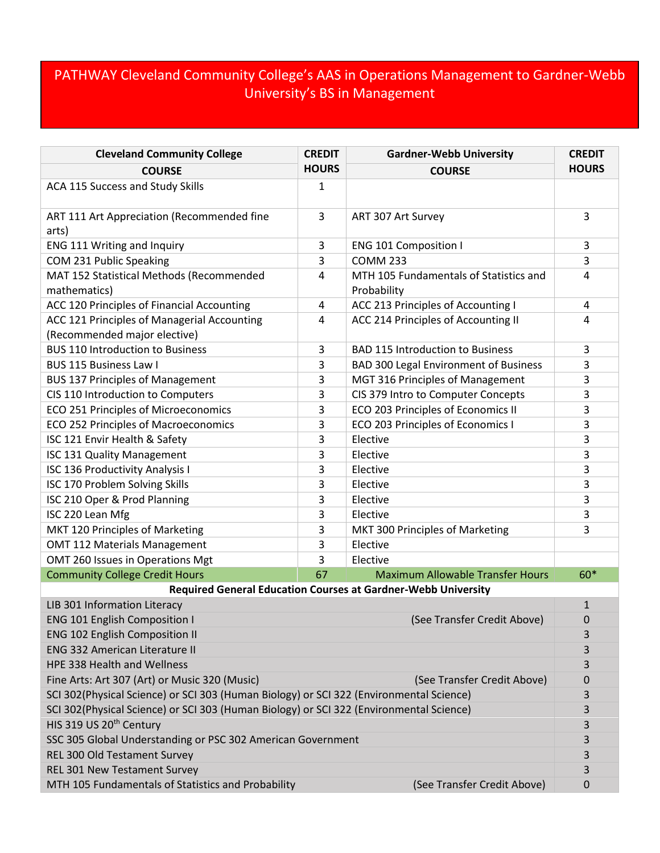## PATHWAY Cleveland Community College's AAS in Operations Management to Gardner-Webb University's BS in Management

| <b>Cleveland Community College</b>                                                      | <b>CREDIT</b> | <b>Gardner-Webb University</b>                        | <b>CREDIT</b> |  |
|-----------------------------------------------------------------------------------------|---------------|-------------------------------------------------------|---------------|--|
| <b>COURSE</b>                                                                           | <b>HOURS</b>  | <b>COURSE</b>                                         | <b>HOURS</b>  |  |
| ACA 115 Success and Study Skills                                                        | 1             |                                                       |               |  |
| ART 111 Art Appreciation (Recommended fine                                              | 3             | ART 307 Art Survey                                    | 3             |  |
| arts)                                                                                   |               |                                                       |               |  |
| ENG 111 Writing and Inquiry                                                             | 3             | <b>ENG 101 Composition I</b>                          | 3             |  |
| COM 231 Public Speaking                                                                 | 3             | <b>COMM 233</b>                                       | 3             |  |
| MAT 152 Statistical Methods (Recommended<br>mathematics)                                | 4             | MTH 105 Fundamentals of Statistics and<br>Probability | 4             |  |
| ACC 120 Principles of Financial Accounting                                              | 4             | ACC 213 Principles of Accounting I                    | 4             |  |
| ACC 121 Principles of Managerial Accounting                                             | 4             | ACC 214 Principles of Accounting II                   | 4             |  |
| (Recommended major elective)                                                            |               |                                                       |               |  |
| <b>BUS 110 Introduction to Business</b>                                                 | 3             | <b>BAD 115 Introduction to Business</b>               | 3             |  |
| <b>BUS 115 Business Law I</b>                                                           | 3             | <b>BAD 300 Legal Environment of Business</b>          | 3             |  |
| <b>BUS 137 Principles of Management</b>                                                 | 3             | MGT 316 Principles of Management                      | 3             |  |
| CIS 110 Introduction to Computers                                                       | 3             | CIS 379 Intro to Computer Concepts                    | 3             |  |
| ECO 251 Principles of Microeconomics                                                    | 3             | ECO 203 Principles of Economics II                    | 3             |  |
| ECO 252 Principles of Macroeconomics                                                    | 3             | ECO 203 Principles of Economics I                     | 3             |  |
| ISC 121 Envir Health & Safety                                                           | 3             | Elective                                              | 3             |  |
| ISC 131 Quality Management                                                              | 3             | Elective                                              | 3             |  |
| ISC 136 Productivity Analysis I                                                         | 3             | Elective                                              | 3             |  |
| ISC 170 Problem Solving Skills                                                          | 3             | Elective                                              | 3             |  |
| ISC 210 Oper & Prod Planning                                                            | 3             | Elective                                              | 3             |  |
| ISC 220 Lean Mfg                                                                        | 3             | Elective                                              | 3             |  |
| MKT 120 Principles of Marketing                                                         | 3             | MKT 300 Principles of Marketing                       | 3             |  |
| <b>OMT 112 Materials Management</b>                                                     | 3             | Elective                                              |               |  |
| OMT 260 Issues in Operations Mgt                                                        | 3             | Elective                                              |               |  |
| <b>Community College Credit Hours</b>                                                   | 67            | <b>Maximum Allowable Transfer Hours</b>               | 60*           |  |
| <b>Required General Education Courses at Gardner-Webb University</b>                    |               |                                                       |               |  |
| LIB 301 Information Literacy                                                            |               |                                                       | $\mathbf{1}$  |  |
| <b>ENG 101 English Composition I</b>                                                    |               | (See Transfer Credit Above)                           | 0             |  |
| <b>ENG 102 English Composition II</b>                                                   |               |                                                       | 3             |  |
| <b>ENG 332 American Literature II</b>                                                   |               |                                                       | 3             |  |
| HPE 338 Health and Wellness                                                             |               |                                                       | 3             |  |
| Fine Arts: Art 307 (Art) or Music 320 (Music)                                           |               | (See Transfer Credit Above)                           | 0             |  |
| SCI 302(Physical Science) or SCI 303 (Human Biology) or SCI 322 (Environmental Science) |               |                                                       | 3             |  |
| SCI 302(Physical Science) or SCI 303 (Human Biology) or SCI 322 (Environmental Science) |               |                                                       | 3             |  |
| HIS 319 US 20 <sup>th</sup> Century                                                     |               |                                                       | 3             |  |
| SSC 305 Global Understanding or PSC 302 American Government                             |               |                                                       |               |  |
| REL 300 Old Testament Survey                                                            |               |                                                       |               |  |
| REL 301 New Testament Survey                                                            |               |                                                       | 3             |  |
| MTH 105 Fundamentals of Statistics and Probability                                      |               | (See Transfer Credit Above)                           | 0             |  |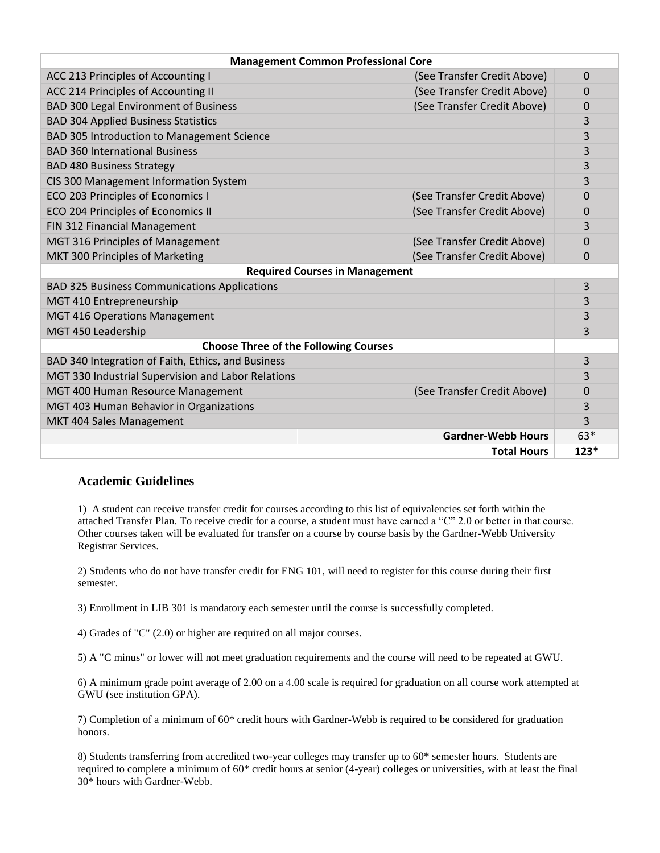| <b>Management Common Professional Core</b>          |                             |        |  |
|-----------------------------------------------------|-----------------------------|--------|--|
| ACC 213 Principles of Accounting I                  | (See Transfer Credit Above) | 0      |  |
| ACC 214 Principles of Accounting II                 | (See Transfer Credit Above) | 0      |  |
| <b>BAD 300 Legal Environment of Business</b>        | (See Transfer Credit Above) | 0      |  |
| <b>BAD 304 Applied Business Statistics</b>          |                             | 3      |  |
| <b>BAD 305 Introduction to Management Science</b>   |                             | 3      |  |
| <b>BAD 360 International Business</b>               |                             | 3      |  |
| <b>BAD 480 Business Strategy</b>                    |                             | 3      |  |
| CIS 300 Management Information System               |                             | 3      |  |
| ECO 203 Principles of Economics I                   | (See Transfer Credit Above) | 0      |  |
| ECO 204 Principles of Economics II                  | (See Transfer Credit Above) | 0      |  |
| FIN 312 Financial Management                        |                             | 3      |  |
| MGT 316 Principles of Management                    | (See Transfer Credit Above) | 0      |  |
| MKT 300 Principles of Marketing                     | (See Transfer Credit Above) | 0      |  |
| <b>Required Courses in Management</b>               |                             |        |  |
| <b>BAD 325 Business Communications Applications</b> |                             | 3      |  |
| MGT 410 Entrepreneurship                            |                             | 3      |  |
| <b>MGT 416 Operations Management</b>                |                             | 3      |  |
| MGT 450 Leadership                                  |                             | 3      |  |
| <b>Choose Three of the Following Courses</b>        |                             |        |  |
| BAD 340 Integration of Faith, Ethics, and Business  |                             | 3      |  |
| MGT 330 Industrial Supervision and Labor Relations  |                             | 3      |  |
| MGT 400 Human Resource Management                   | (See Transfer Credit Above) | 0      |  |
| MGT 403 Human Behavior in Organizations             |                             | 3      |  |
| MKT 404 Sales Management                            |                             | 3      |  |
|                                                     | <b>Gardner-Webb Hours</b>   | $63*$  |  |
|                                                     | <b>Total Hours</b>          | $123*$ |  |

## **Academic Guidelines**

1) A student can receive transfer credit for courses according to this list of equivalencies set forth within the attached Transfer Plan. To receive credit for a course, a student must have earned a "C" 2.0 or better in that course. Other courses taken will be evaluated for transfer on a course by course basis by the Gardner-Webb University Registrar Services.

2) Students who do not have transfer credit for ENG 101, will need to register for this course during their first semester.

3) Enrollment in LIB 301 is mandatory each semester until the course is successfully completed.

4) Grades of "C" (2.0) or higher are required on all major courses.

5) A "C minus" or lower will not meet graduation requirements and the course will need to be repeated at GWU.

6) A minimum grade point average of 2.00 on a 4.00 scale is required for graduation on all course work attempted at GWU (see institution GPA).

7) Completion of a minimum of 60\* credit hours with Gardner-Webb is required to be considered for graduation honors.

8) Students transferring from accredited two-year colleges may transfer up to 60\* semester hours. Students are required to complete a minimum of 60\* credit hours at senior (4-year) colleges or universities, with at least the final 30\* hours with Gardner-Webb.